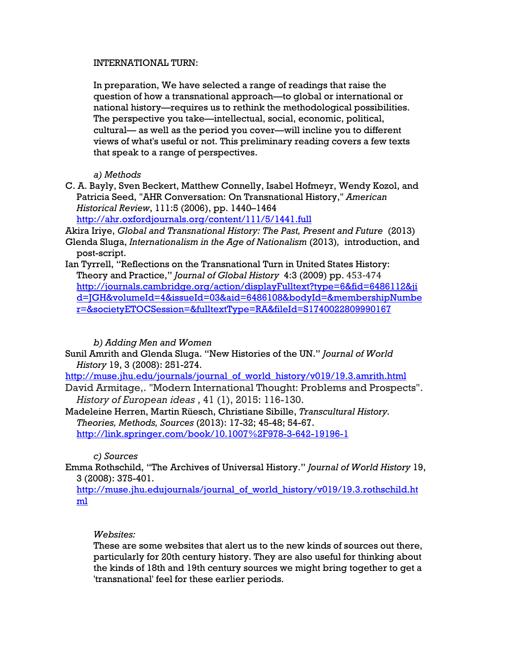## INTERNATIONAL TURN:

In preparation, We have selected a range of readings that raise the question of how a transnational approach—to global or international or national history—requires us to rethink the methodological possibilities. The perspective you take—intellectual, social, economic, political, cultural— as well as the period you cover—will incline you to different views of what's useful or not. This preliminary reading covers a few texts that speak to a range of perspectives.

*a) Methods* 

C. A. Bayly, Sven Beckert, Matthew Connelly, Isabel Hofmeyr, Wendy Kozol, and Patricia Seed, "AHR Conversation: On Transnational History," *American Historical Review*, 111:5 (2006), pp. 1440–1464

http://ahr.oxfordjournals.org/content/111/5/1441.full

Akira Iriye, *Global and Transnational History: The Past, Present and Future* (2013) Glenda Sluga, *Internationalism in the Age of Nationalism* (2013)*,* introduction, and post-script.

Ian Tyrrell, "Reflections on the Transnational Turn in United States History: Theory and Practice," *Journal of Global History* 4:3 (2009) pp. 453‐474 http://journals.cambridge.org/action/displayFulltext?type=6&fid=6486112&ji d=JGH&volumeId=4&issueId=03&aid=6486108&bodyId=&membershipNumbe r=&societyETOCSession=&fulltextType=RA&fileId=S1740022809990167

## *b) Adding Men and Women*

Sunil Amrith and Glenda Sluga. "New Histories of the UN." *Journal of World History* 19, 3 (2008): 251-274.

http://muse.jhu.edu/journals/journal\_of\_world\_history/v019/19.3.amrith.html David Armitage,. "Modern International Thought: Problems and Prospects".

*History of European ideas* , 41 (1), 2015: 116-130. Madeleine Herren, Martin Rüesch, Christiane Sibille, *Transcultural History. Theories, Methods, Sources* (2013): 17-32; 45-48; 54-67. http://link.springer.com/book/10.1007%2F978-3-642-19196-1

*c) Sources* 

Emma Rothschild, "The Archives of Universal History." *Journal of World History* 19, 3 (2008): 375-401.

http://muse.jhu.edujournals/journal\_of\_world\_history/v019/19.3.rothschild.ht ml

## *Websites:*

These are some websites that alert us to the new kinds of sources out there, particularly for 20th century history. They are also useful for thinking about the kinds of 18th and 19th century sources we might bring together to get a 'transnational' feel for these earlier periods.